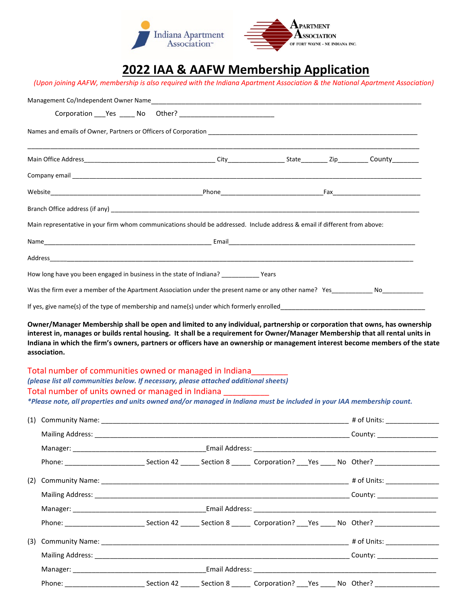

## **2022 IAA & AAFW Membership Application**

|                                                         | Main representative in your firm whom communications should be addressed. Include address & email if different from above:                            |  |             |
|---------------------------------------------------------|-------------------------------------------------------------------------------------------------------------------------------------------------------|--|-------------|
|                                                         |                                                                                                                                                       |  |             |
|                                                         |                                                                                                                                                       |  |             |
|                                                         | How long have you been engaged in business in the state of Indiana? ___________ Years                                                                 |  |             |
|                                                         | Was the firm ever a member of the Apartment Association under the present name or any other name? Yes No No No                                        |  |             |
|                                                         |                                                                                                                                                       |  |             |
| Total number of communities owned or managed in Indiana |                                                                                                                                                       |  |             |
|                                                         | (please list all communities below. If necessary, please attached additional sheets)<br>Total number of units owned or managed in Indiana ___________ |  |             |
|                                                         | *Please note, all properties and units owned and/or managed in Indiana must be included in your IAA membership count.                                 |  |             |
|                                                         |                                                                                                                                                       |  | # of Units: |
|                                                         |                                                                                                                                                       |  |             |
|                                                         |                                                                                                                                                       |  |             |
|                                                         |                                                                                                                                                       |  |             |
|                                                         |                                                                                                                                                       |  |             |
|                                                         |                                                                                                                                                       |  |             |
|                                                         | Phone: Section 42 _____ Section 8 _____ Corporation? ___ Yes ____ No Other?                                                                           |  |             |
|                                                         |                                                                                                                                                       |  |             |
|                                                         |                                                                                                                                                       |  |             |
| (1) Community Name:                                     |                                                                                                                                                       |  |             |